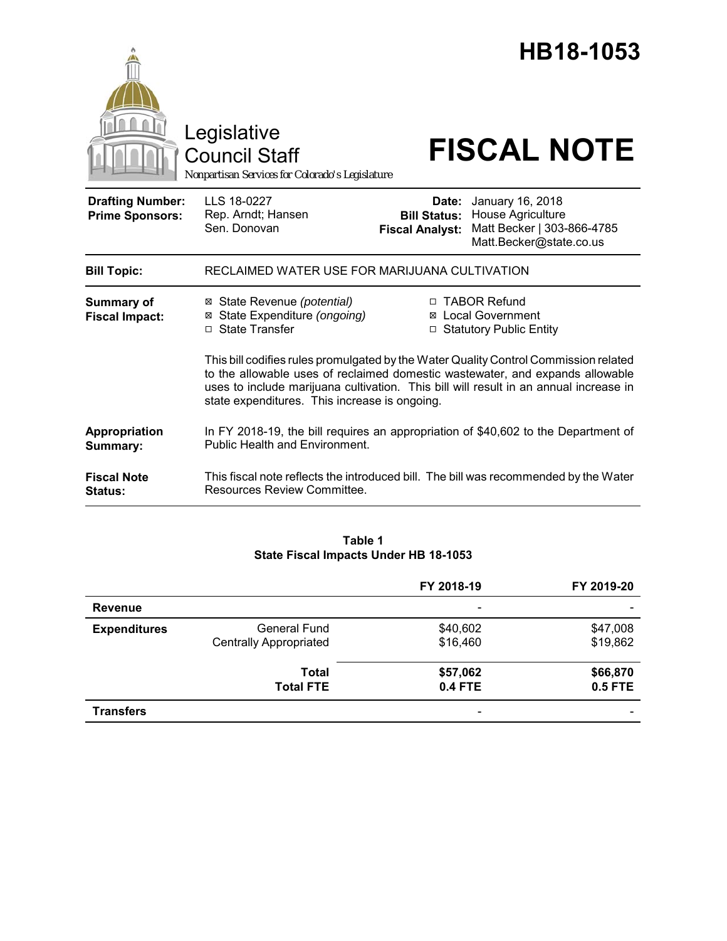|                                                   | Legislative<br><b>Council Staff</b><br>Nonpartisan Services for Colorado's Legislature                                                                                                                                                                                                                          |                                                                          |                                                                  | HB18-1053<br><b>FISCAL NOTE</b> |
|---------------------------------------------------|-----------------------------------------------------------------------------------------------------------------------------------------------------------------------------------------------------------------------------------------------------------------------------------------------------------------|--------------------------------------------------------------------------|------------------------------------------------------------------|---------------------------------|
| <b>Drafting Number:</b><br><b>Prime Sponsors:</b> | LLS 18-0227<br>Rep. Arndt; Hansen<br>Sen. Donovan                                                                                                                                                                                                                                                               | Date:<br><b>Bill Status:</b><br><b>Fiscal Analyst:</b>                   | January 16, 2018<br>House Agriculture<br>Matt.Becker@state.co.us | Matt Becker   303-866-4785      |
| <b>Bill Topic:</b>                                | RECLAIMED WATER USE FOR MARIJUANA CULTIVATION                                                                                                                                                                                                                                                                   |                                                                          |                                                                  |                                 |
| <b>Summary of</b><br><b>Fiscal Impact:</b>        | ⊠ State Revenue (potential)<br>⊠ State Expenditure (ongoing)<br>□ State Transfer                                                                                                                                                                                                                                | □ TABOR Refund<br><b>⊠</b> Local Government<br>□ Statutory Public Entity |                                                                  |                                 |
|                                                   | This bill codifies rules promulgated by the Water Quality Control Commission related<br>to the allowable uses of reclaimed domestic wastewater, and expands allowable<br>uses to include marijuana cultivation. This bill will result in an annual increase in<br>state expenditures. This increase is ongoing. |                                                                          |                                                                  |                                 |
| Appropriation<br>Summary:                         | In FY 2018-19, the bill requires an appropriation of \$40,602 to the Department of<br><b>Public Health and Environment.</b>                                                                                                                                                                                     |                                                                          |                                                                  |                                 |
| <b>Fiscal Note</b><br><b>Status:</b>              | This fiscal note reflects the introduced bill. The bill was recommended by the Water<br>Resources Review Committee.                                                                                                                                                                                             |                                                                          |                                                                  |                                 |

# **Table 1 State Fiscal Impacts Under HB 18-1053**

|                     |                               | FY 2018-19 | FY 2019-20 |
|---------------------|-------------------------------|------------|------------|
| <b>Revenue</b>      |                               | -          |            |
| <b>Expenditures</b> | <b>General Fund</b>           | \$40,602   | \$47,008   |
|                     | <b>Centrally Appropriated</b> | \$16,460   | \$19,862   |
|                     | <b>Total</b>                  | \$57,062   | \$66,870   |
|                     | <b>Total FTE</b>              | 0.4 FTE    | 0.5 FTE    |
| <b>Transfers</b>    |                               | -          |            |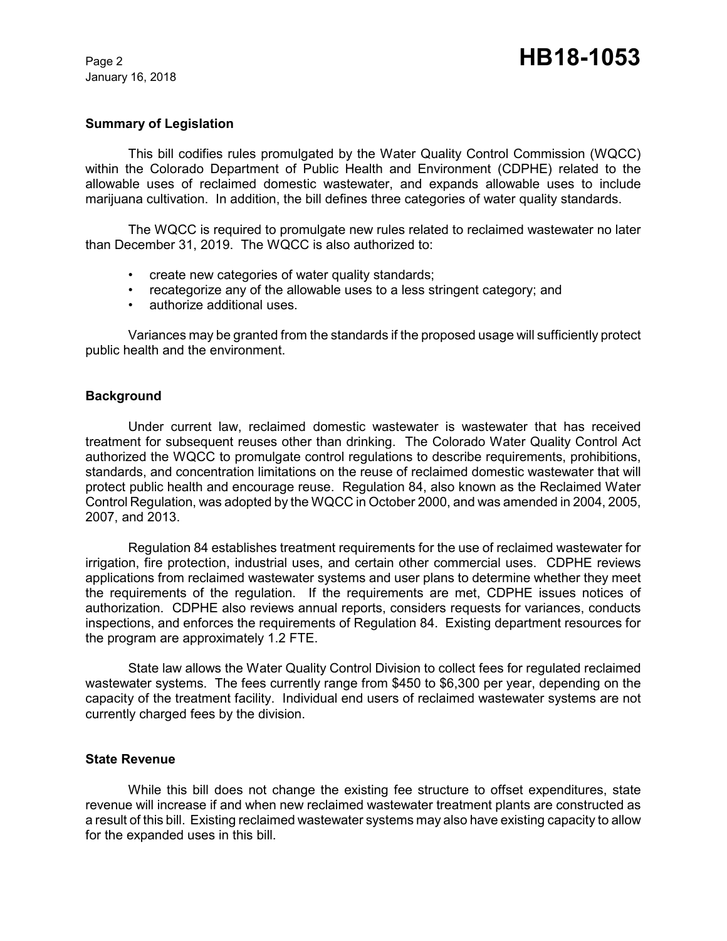January 16, 2018

#### **Summary of Legislation**

This bill codifies rules promulgated by the Water Quality Control Commission (WQCC) within the Colorado Department of Public Health and Environment (CDPHE) related to the allowable uses of reclaimed domestic wastewater, and expands allowable uses to include marijuana cultivation. In addition, the bill defines three categories of water quality standards.

The WQCC is required to promulgate new rules related to reclaimed wastewater no later than December 31, 2019. The WQCC is also authorized to:

- create new categories of water quality standards;
- recategorize any of the allowable uses to a less stringent category; and
- authorize additional uses.

Variances may be granted from the standards if the proposed usage will sufficiently protect public health and the environment.

#### **Background**

Under current law, reclaimed domestic wastewater is wastewater that has received treatment for subsequent reuses other than drinking. The Colorado Water Quality Control Act authorized the WQCC to promulgate control regulations to describe requirements, prohibitions, standards, and concentration limitations on the reuse of reclaimed domestic wastewater that will protect public health and encourage reuse. Regulation 84, also known as the Reclaimed Water Control Regulation, was adopted by the WQCC in October 2000, and was amended in 2004, 2005, 2007, and 2013.

Regulation 84 establishes treatment requirements for the use of reclaimed wastewater for irrigation, fire protection, industrial uses, and certain other commercial uses. CDPHE reviews applications from reclaimed wastewater systems and user plans to determine whether they meet the requirements of the regulation. If the requirements are met, CDPHE issues notices of authorization. CDPHE also reviews annual reports, considers requests for variances, conducts inspections, and enforces the requirements of Regulation 84. Existing department resources for the program are approximately 1.2 FTE.

State law allows the Water Quality Control Division to collect fees for regulated reclaimed wastewater systems. The fees currently range from \$450 to \$6,300 per year, depending on the capacity of the treatment facility. Individual end users of reclaimed wastewater systems are not currently charged fees by the division.

#### **State Revenue**

While this bill does not change the existing fee structure to offset expenditures, state revenue will increase if and when new reclaimed wastewater treatment plants are constructed as a result of this bill. Existing reclaimed wastewater systems may also have existing capacity to allow for the expanded uses in this bill.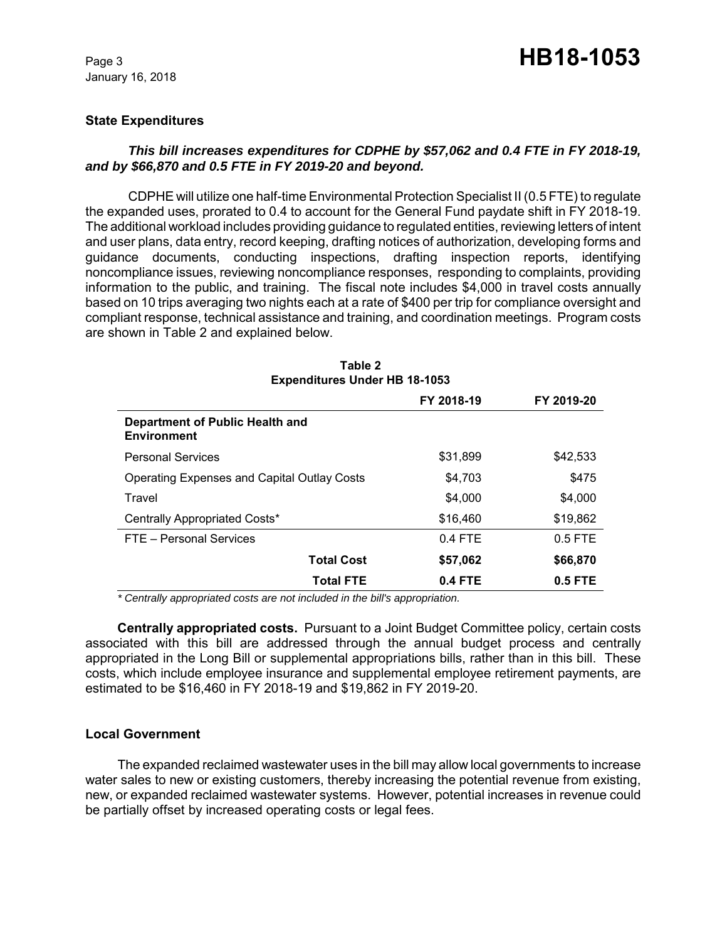January 16, 2018

## **State Expenditures**

## *This bill increases expenditures for CDPHE by \$57,062 and 0.4 FTE in FY 2018-19, and by \$66,870 and 0.5 FTE in FY 2019-20 and beyond.*

CDPHE will utilize one half-time Environmental Protection Specialist II (0.5 FTE) to regulate the expanded uses, prorated to 0.4 to account for the General Fund paydate shift in FY 2018-19. The additional workload includes providing guidance to regulated entities, reviewing letters of intent and user plans, data entry, record keeping, drafting notices of authorization, developing forms and guidance documents, conducting inspections, drafting inspection reports, identifying noncompliance issues, reviewing noncompliance responses, responding to complaints, providing information to the public, and training. The fiscal note includes \$4,000 in travel costs annually based on 10 trips averaging two nights each at a rate of \$400 per trip for compliance oversight and compliant response, technical assistance and training, and coordination meetings. Program costs are shown in Table 2 and explained below.

| Expenditures Under HB 18-1053                         |            |            |  |  |
|-------------------------------------------------------|------------|------------|--|--|
|                                                       | FY 2018-19 | FY 2019-20 |  |  |
| Department of Public Health and<br><b>Environment</b> |            |            |  |  |
| <b>Personal Services</b>                              | \$31,899   | \$42,533   |  |  |
| Operating Expenses and Capital Outlay Costs           | \$4,703    | \$475      |  |  |
| Travel                                                | \$4,000    | \$4,000    |  |  |
| Centrally Appropriated Costs*                         | \$16,460   | \$19,862   |  |  |
| FTE - Personal Services                               | $0.4$ FTE  | $0.5$ FTE  |  |  |
| <b>Total Cost</b>                                     | \$57,062   | \$66,870   |  |  |
| <b>Total FTE</b>                                      | $0.4$ FTE  | $0.5$ FTE  |  |  |

**Table 2 Expenditures Under HB 18-1053**

 *\* Centrally appropriated costs are not included in the bill's appropriation.*

**Centrally appropriated costs.** Pursuant to a Joint Budget Committee policy, certain costs associated with this bill are addressed through the annual budget process and centrally appropriated in the Long Bill or supplemental appropriations bills, rather than in this bill. These costs, which include employee insurance and supplemental employee retirement payments, are estimated to be \$16,460 in FY 2018-19 and \$19,862 in FY 2019-20.

### **Local Government**

The expanded reclaimed wastewater uses in the bill may allow local governments to increase water sales to new or existing customers, thereby increasing the potential revenue from existing, new, or expanded reclaimed wastewater systems. However, potential increases in revenue could be partially offset by increased operating costs or legal fees.